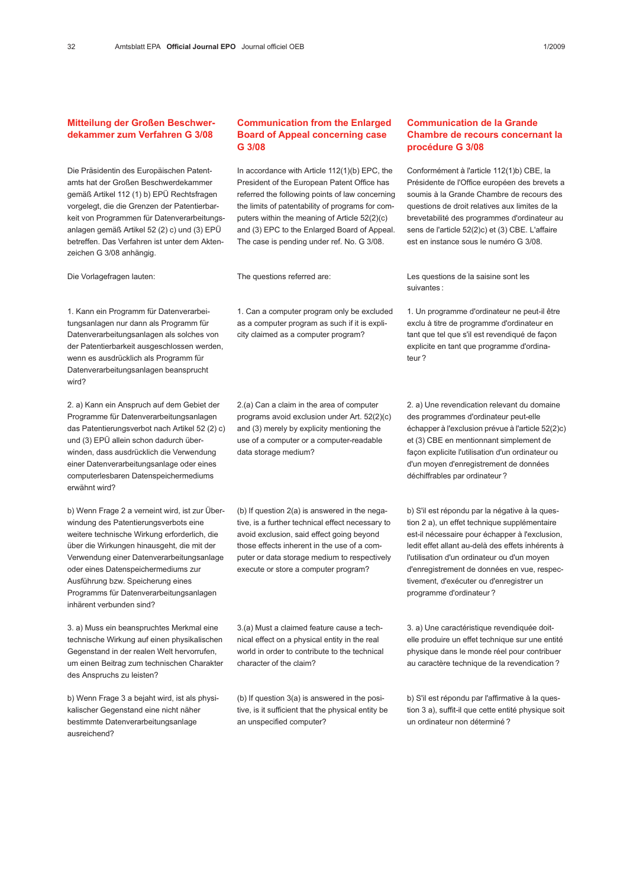## Mitteilung der Großen Beschwerdekammer zum Verfahren G 3/08

Die Präsidentin des Europäischen Patentamts hat der Großen Beschwerdekammer gemäß Artikel 112 (1) b) EPÜ Rechtsfragen vorgelegt, die die Grenzen der Patentierbarkeit von Programmen für Datenverarbeitungsanlagen gemäß Artikel 52 (2) c) und (3) EPÜ betreffen. Das Verfahren ist unter dem Aktenzeichen G 3/08 anhängig.

Die Vorlagefragen lauten:

## 1. Kann ein Programm für Datenverarbeitungsanlagen nur dann als Programm für Datenverarbeitungsanlagen als solches von der Patentierbarkeit ausgeschlossen werden, wenn es ausdrücklich als Programm für Datenverarbeitungsanlagen beansprucht wird?

2. a) Kann ein Anspruch auf dem Gebiet der Programme für Datenverarbeitungsanlagen das Patentierungsverbot nach Artikel 52 (2) c) und (3) EPÜ allein schon dadurch überwinden, dass ausdrücklich die Verwendung einer Datenverarbeitungsanlage oder eines computerlesbaren Datenspeichermediums erwähnt wird?

b) Wenn Frage 2 a verneint wird, ist zur Überwindung des Patentierungsverbots eine weitere technische Wirkung erforderlich, die über die Wirkungen hinausgeht, die mit der Verwendung einer Datenverarbeitungsanlage oder eines Datenspeichermediums zur Ausführung bzw. Speicherung eines Programms für Datenverarbeitungsanlagen inhärent verbunden sind?

3. a) Muss ein beanspruchtes Merkmal eine technische Wirkung auf einen physikalischen Gegenstand in der realen Welt hervorrufen, um einen Beitrag zum technischen Charakter des Anspruchs zu leisten?

b) Wenn Frage 3 a bejaht wird, ist als physikalischer Gegenstand eine nicht näher bestimmte Datenverarbeitungsanlage ausreichend?

## Communication from the Enlarged Board of Appeal concerning case G 3/08

In accordance with Article 112(1)(b) EPC, the President of the European Patent Office has referred the following points of law concerning the limits of patentability of programs for computers within the meaning of Article 52(2)(c) and (3) EPC to the Enlarged Board of Appeal. The case is pending under ref. No. G 3/08.

The questions referred are:

1. Can a computer program only be excluded as a computer program as such if it is explicity claimed as a computer program?

2.(a) Can a claim in the area of computer programs avoid exclusion under Art. 52(2)(c) and (3) merely by explicity mentioning the use of a computer or a computer-readable data storage medium?

(b) If question 2(a) is answered in the negative, is a further technical effect necessary to avoid exclusion, said effect going beyond those effects inherent in the use of a computer or data storage medium to respectively execute or store a computer program?

3.(a) Must a claimed feature cause a technical effect on a physical entity in the real world in order to contribute to the technical character of the claim?

(b) If question 3(a) is answered in the positive, is it sufficient that the physical entity be an unspecified computer?

## Communication de la Grande Chambre de recours concernant la procédure G 3/08

Conformément à l'article 112(1)b) CBE, la Présidente de l'Office européen des brevets a soumis à la Grande Chambre de recours des questions de droit relatives aux limites de la brevetabilité des programmes d'ordinateur au sens de l'article 52(2)c) et (3) CBE. L'affaire est en instance sous le numéro G 3/08.

Les questions de la saisine sont les suivantes :

1. Un programme d'ordinateur ne peut-il être exclu à titre de programme d'ordinateur en tant que tel que s'il est revendiqué de façon explicite en tant que programme d'ordinateur ?

2. a) Une revendication relevant du domaine des programmes d'ordinateur peut-elle échapper à l'exclusion prévue à l'article 52(2)c) et (3) CBE en mentionnant simplement de façon explicite l'utilisation d'un ordinateur ou d'un moyen d'enregistrement de données déchiffrables par ordinateur ?

b) S'il est répondu par la négative à la question 2 a), un effet technique supplémentaire est-il nécessaire pour échapper à l'exclusion, ledit effet allant au-delà des effets inhérents à l'utilisation d'un ordinateur ou d'un moyen d'enregistrement de données en vue, respectivement, d'exécuter ou d'enregistrer un programme d'ordinateur ?

3. a) Une caractéristique revendiquée doitelle produire un effet technique sur une entité physique dans le monde réel pour contribuer au caractère technique de la revendication ?

b) S'il est répondu par l'affirmative à la question 3 a), suffit-il que cette entité physique soit un ordinateur non déterminé ?